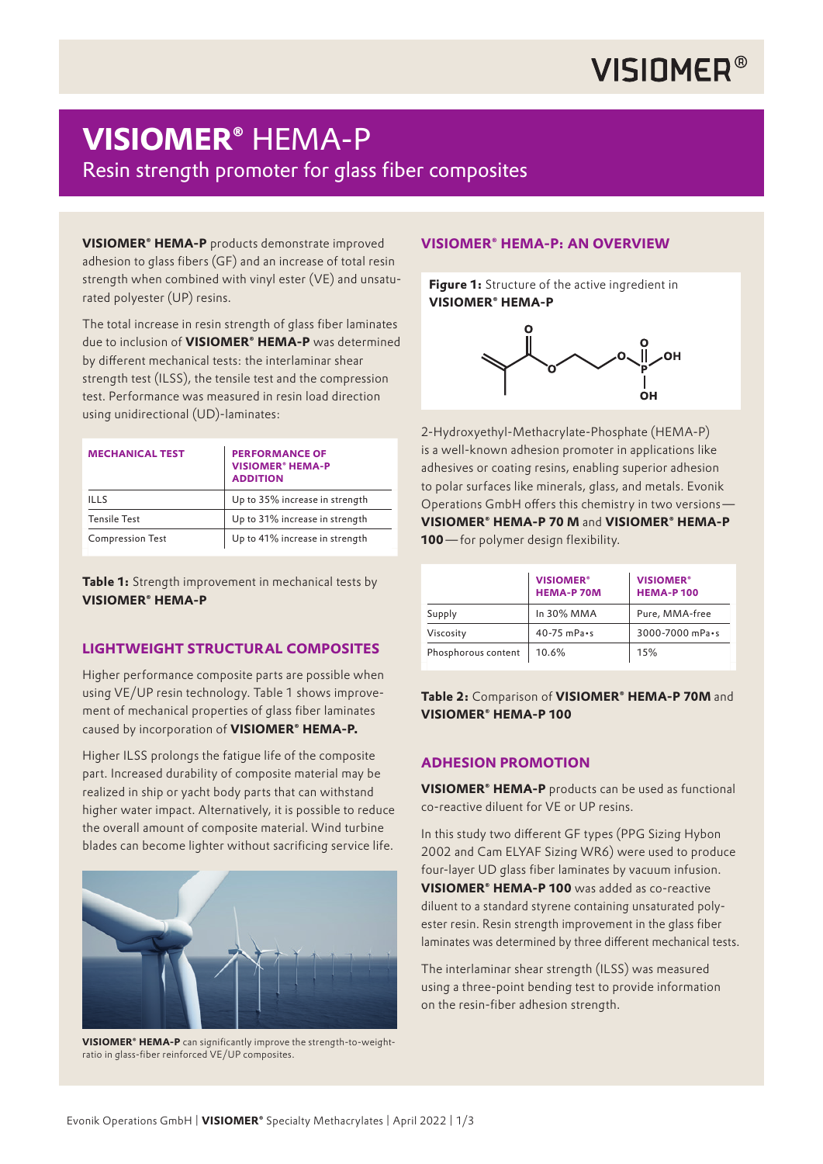## **VISIOMER®**

## **VISIOMER®** HEMA-P

Resin strength promoter for glass fiber composites

**VISIOMER® HEMA-P** products demonstrate improved adhesion to glass fibers (GF) and an increase of total resin strength when combined with vinyl ester (VE) and unsaturated polyester (UP) resins.

The total increase in resin strength of glass fiber laminates due to inclusion of **VISIOMER® HEMA-P** was determined by different mechanical tests: the interlaminar shear strength test (ILSS), the tensile test and the compression test. Performance was measured in resin load direction using unidirectional (UD)-laminates:

| <b>MECHANICAL TEST</b>  | <b>PERFORMANCE OF</b><br><b>VISIOMER<sup>®</sup> HEMA-P</b><br><b>ADDITION</b> |  |
|-------------------------|--------------------------------------------------------------------------------|--|
| III.S                   | Up to 35% increase in strength                                                 |  |
| <b>Tensile Test</b>     | Up to 31% increase in strength                                                 |  |
| <b>Compression Test</b> | Up to 41% increase in strength                                                 |  |

**Table 1:** Strength improvement in mechanical tests by **VISIOMER® HEMA-P**

## **LIGHTWEIGHT STRUCTURAL COMPOSITES**

Higher performance composite parts are possible when using VE/UP resin technology. Table 1 shows improvement of mechanical properties of glass fiber laminates caused by incorporation of **VISIOMER® HEMA-P.** 

Higher ILSS prolongs the fatigue life of the composite part. Increased durability of composite material may be realized in ship or yacht body parts that can withstand higher water impact. Alternatively, it is possible to reduce the overall amount of composite material. Wind turbine blades can become lighter without sacrificing service life.



**VISIOMER® HEMA-P** can significantly improve the strength-to-weightratio in glass-fiber reinforced VE/UP composites.

## **VISIOMER® HEMA-P: AN OVERVIEW**

**Figure 1:** Structure of the active ingredient in **VISIOMER® HEMA-P**



2-Hydroxyethyl-Methacrylate-Phosphate (HEMA-P) is a well-known adhesion promoter in applications like adhesives or coating resins, enabling superior adhesion to polar surfaces like minerals, glass, and metals. Evonik Operations GmbH offers this chemistry in two versions — **VISIOMER® HEMA-P 70 M** and **VISIOMER® HEMA-P 100**— for polymer design flexibility.

|                     | <b>VISIOMER<sup>®</sup></b><br><b>HEMA-P 70M</b> | <b>VISIOMER<sup>®</sup></b><br><b>HEMA-P100</b> |
|---------------------|--------------------------------------------------|-------------------------------------------------|
| Supply              | In 30% MMA                                       | Pure, MMA-free                                  |
| Viscosity           | $40-75$ mPa $\cdot$ s                            | 3000-7000 mPa·s                                 |
| Phosphorous content | 10.6%                                            | 15%                                             |

**Table 2:** Comparison of **VISIOMER® HEMA-P 70M** and **VISIOMER® HEMA-P 100**

## **ADHESION PROMOTION**

**VISIOMER® HEMA-P** products can be used as functional co-reactive diluent for VE or UP resins.

In this study two different GF types (PPG Sizing Hybon 2002 and Cam ELYAF Sizing WR6) were used to produce four-layer UD glass fiber laminates by vacuum infusion. **VISIOMER® HEMA-P 100** was added as co-reactive diluent to a standard styrene containing unsaturated polyester resin. Resin strength improvement in the glass fiber laminates was determined by three different mechanical tests.

The interlaminar shear strength (ILSS) was measured using a three-point bending test to provide information on the resin-fiber adhesion strength.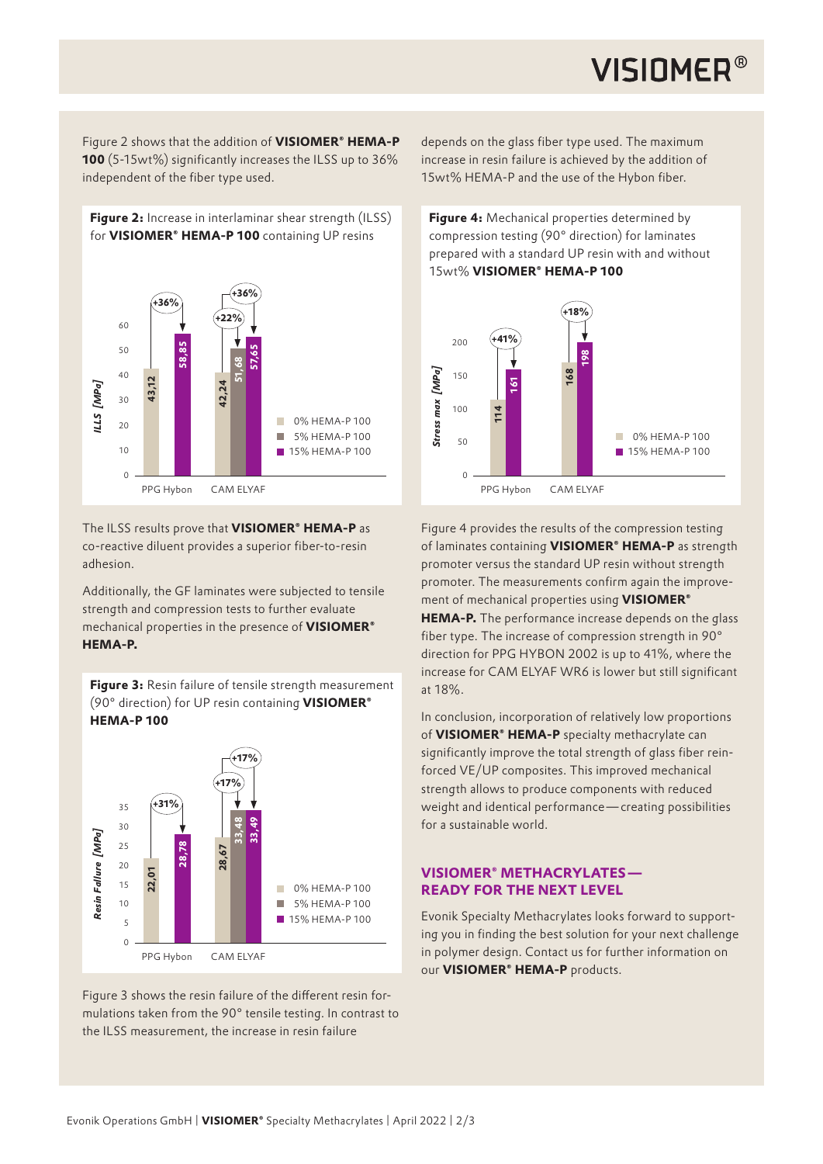## **VISIOMER®**

Figure 2 shows that the addition of **VISIOMER® HEMA-P 100** (5-15wt%) significantly increases the ILSS up to 36% independent of the fiber type used.

**Figure 2:** Increase in interlaminar shear strength (ILSS) for **VISIOMER® HEMA-P 100** containing UP resins



The ILSS results prove that **VISIOMER® HEMA-P** as co-reactive diluent provides a superior fiber-to-resin adhesion.

Additionally, the GF laminates were subjected to tensile strength and compression tests to further evaluate mechanical properties in the presence of **VISIOMER® HEMA-P.** 

**Figure 3:** Resin failure of tensile strength measurement (90° direction) for UP resin containing **VISIOMER® HEMA-P 100**



Figure 3 shows the resin failure of the different resin formulations taken from the 90° tensile testing. In contrast to the ILSS measurement, the increase in resin failure

depends on the glass fiber type used. The maximum increase in resin failure is achieved by the addition of 15wt% HEMA-P and the use of the Hybon fiber.

**Figure 4:** Mechanical properties determined by compression testing (90° direction) for laminates prepared with a standard UP resin with and without 15wt% **VISIOMER® HEMA-P 100**



Figure 4 provides the results of the compression testing of laminates containing **VISIOMER® HEMA-P** as strength promoter versus the standard UP resin without strength promoter. The measurements confirm again the improvement of mechanical properties using **VISIOMER® HEMA-P.** The performance increase depends on the glass fiber type. The increase of compression strength in 90° direction for PPG HYBON 2002 is up to 41%, where the increase for CAM ELYAF WR6 is lower but still significant at 18%.

In conclusion, incorporation of relatively low proportions of **VISIOMER® HEMA-P** specialty methacrylate can significantly improve the total strength of glass fiber reinforced VE/UP composites. This improved mechanical strength allows to produce components with reduced weight and identical performance — creating possibilities for a sustainable world.

### **VISIOMER® METHACRYLATES — READY FOR THE NEXT LEVEL**

Evonik Specialty Methacrylates looks forward to supporting you in finding the best solution for your next challenge in polymer design. Contact us for further information on our **VISIOMER® HEMA-P** products.

Evonik Operations GmbH | **VISIOMER®** Specialty Methacrylates | April 2022 | 2/3